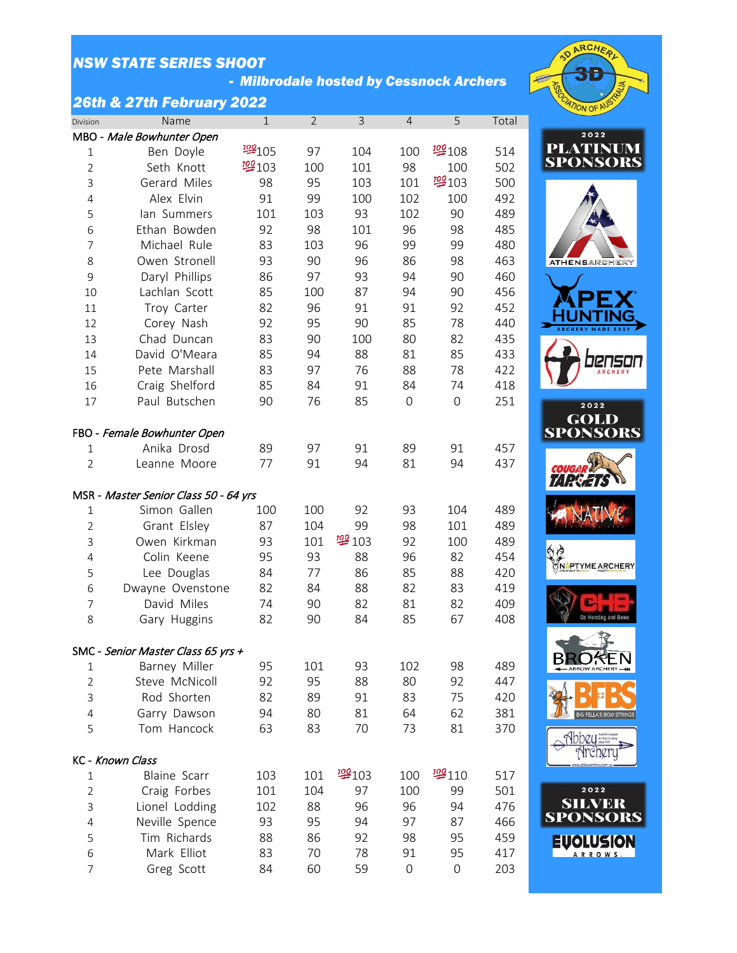*- Milbrodale hosted by Cessnock Archers*

### *26th & 27th February 2022*

| Division       | Name                                  | $\mathbf{1}$ | $\overline{2}$ | 3    | $\overline{4}$      | 5                   | Total |  |  |
|----------------|---------------------------------------|--------------|----------------|------|---------------------|---------------------|-------|--|--|
|                | MBO - Male Bowhunter Open             |              |                |      |                     |                     |       |  |  |
| 1              | Ben Doyle                             | 學105         | 97             | 104  | 100                 | 學108                | 514   |  |  |
| $\overline{2}$ | Seth Knott                            | 學103         | 100            | 101  | 98                  | 100                 | 502   |  |  |
| 3              | Gerard Miles                          | 98           | 95             | 103  | 101                 | 學103                | 500   |  |  |
| $\overline{4}$ | Alex Elvin                            | 91           | 99             | 100  | 102                 | 100                 | 492   |  |  |
| 5              | lan Summers                           | 101          | 103            | 93   | 102                 | 90                  | 489   |  |  |
| 6              | Ethan Bowden                          | 92           | 98             | 101  | 96                  | 98                  | 485   |  |  |
| 7              | Michael Rule                          | 83           | 103            | 96   | 99                  | 99                  | 480   |  |  |
| 8              | Owen Stronell                         | 93           | 90             | 96   | 86                  | 98                  | 463   |  |  |
| 9              | Daryl Phillips                        | 86           | 97             | 93   | 94                  | 90                  | 460   |  |  |
| 10             | Lachlan Scott                         | 85           | 100            | 87   | 94                  | 90                  | 456   |  |  |
| 11             | Troy Carter                           | 82           | 96             | 91   | 91                  | 92                  | 452   |  |  |
| 12             | Corey Nash                            | 92           | 95             | 90   | 85                  | 78                  | 440   |  |  |
| 13             | Chad Duncan                           | 83           | 90             | 100  | 80                  | 82                  | 435   |  |  |
| 14             | David O'Meara                         | 85           | 94             | 88   | 81                  | 85                  | 433   |  |  |
| 15             | Pete Marshall                         | 83           | 97             | 76   | 88                  | 78                  | 422   |  |  |
| 16             | Craig Shelford                        | 85           | 84             | 91   | 84                  | 74                  | 418   |  |  |
| 17             | Paul Butschen                         | 90           | 76             | 85   | $\mathsf{O}\xspace$ | $\mathbf 0$         | 251   |  |  |
|                |                                       |              |                |      |                     |                     |       |  |  |
|                | FBO - Female Bowhunter Open           |              |                |      |                     |                     |       |  |  |
| $\mathbf 1$    | Anika Drosd                           | 89           | 97             | 91   | 89                  | 91                  | 457   |  |  |
| $\overline{2}$ | Leanne Moore                          | 77           | 91             | 94   | 81                  | 94                  | 437   |  |  |
|                |                                       |              |                |      |                     |                     |       |  |  |
|                | MSR - Master Senior Class 50 - 64 yrs |              |                |      |                     |                     |       |  |  |
| $\mathbf{1}$   | Simon Gallen                          | 100          | 100            | 92   | 93                  | 104                 | 489   |  |  |
| $\overline{2}$ | Grant Elsley                          | 87           | 104            | 99   | 98                  | 101                 | 489   |  |  |
| 3              | Owen Kirkman                          | 93           | 101            | 學103 | 92                  | 100                 | 489   |  |  |
| $\overline{4}$ | Colin Keene                           | 95           | 93             | 88   | 96                  | 82                  | 454   |  |  |
| 5              | Lee Douglas                           | 84           | 77             | 86   | 85                  | 88                  | 420   |  |  |
| 6              | Dwayne Ovenstone                      | 82           | 84             | 88   | 82                  | 83                  | 419   |  |  |
| 7              | David Miles                           | 74           | 90             | 82   | 81                  | 82                  | 409   |  |  |
| 8              | Gary Huggins                          | 82           | 90             | 84   | 85                  | 67                  | 408   |  |  |
|                |                                       |              |                |      |                     |                     |       |  |  |
|                | SMC - Senior Master Class 65 yrs +    |              |                |      |                     |                     |       |  |  |
| 1              | Barney Miller                         | 95           | 101            | 93   | 102                 | 98                  | 489   |  |  |
| $\overline{2}$ | Steve McNicoll                        | 92           | 95             | 88   | 80                  | 92                  | 447   |  |  |
| 3              | Rod Shorten                           | 82           | 89             | 91   | 83                  | 75                  | 420   |  |  |
| $\overline{4}$ | Garry Dawson                          | 94           | 80             | 81   | 64                  | 62                  | 381   |  |  |
| 5              | Tom Hancock                           | 63           | 83             | 70   | 73                  | 81                  | 370   |  |  |
|                |                                       |              |                |      |                     |                     |       |  |  |
|                | KC - Known Class                      |              |                |      |                     |                     |       |  |  |
| 1              | <b>Blaine Scarr</b>                   | 103          | 101            | 學103 | 100                 | 學110                | 517   |  |  |
| $\overline{2}$ | Craig Forbes                          | 101          | 104            | 97   | 100                 | 99                  | 501   |  |  |
| 3              | Lionel Lodding                        | 102          | 88             | 96   | 96                  | 94                  | 476   |  |  |
| 4              | Neville Spence                        | 93           | 95             | 94   | 97                  | 87                  | 466   |  |  |
| 5              | Tim Richards                          | 88           | 86             | 92   | 98                  | 95                  | 459   |  |  |
| 6              | Mark Elliot                           | 83           | 70             | 78   | 91                  | 95                  | 417   |  |  |
| $\overline{7}$ | Greg Scott                            | 84           | 60             | 59   | $\mathsf{O}\xspace$ | $\mathsf{O}\xspace$ | 203   |  |  |

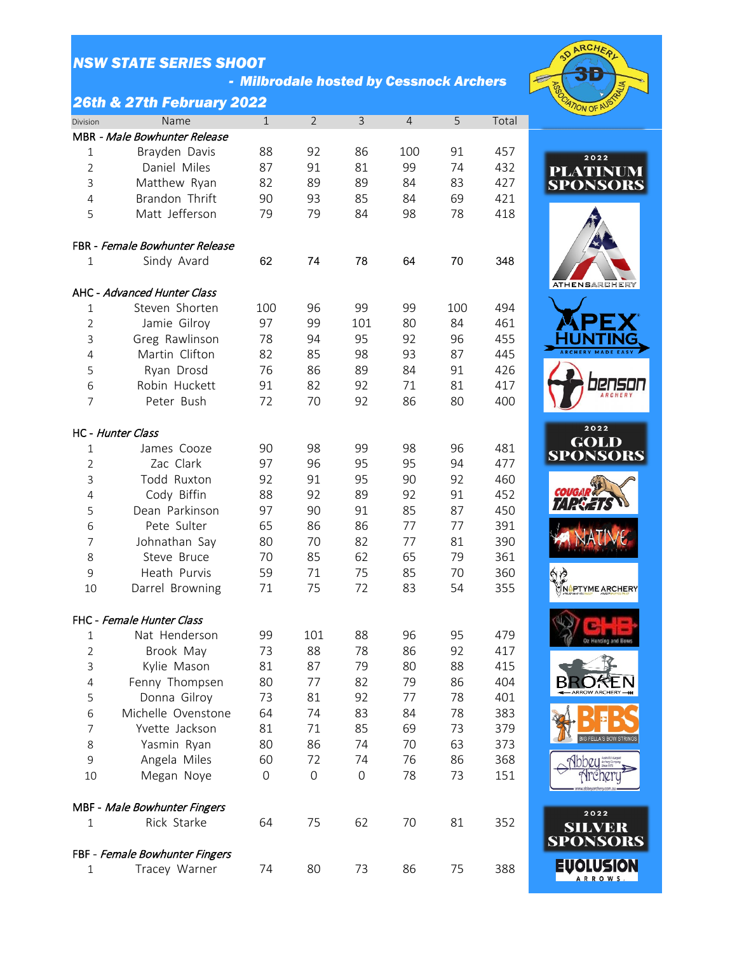*- Milbrodale hosted by Cessnock Archers*



### *26th & 27th February 2022*

| Division       | Name                           | $\mathbf{1}$        | $\overline{2}$      | 3                   | 4   | 5   | Total |
|----------------|--------------------------------|---------------------|---------------------|---------------------|-----|-----|-------|
|                | MBR - Male Bowhunter Release   |                     |                     |                     |     |     |       |
| $1\,$          | Brayden Davis                  | 88                  | 92                  | 86                  | 100 | 91  | 457   |
| $\overline{2}$ | Daniel Miles                   | 87                  | 91                  | 81                  | 99  | 74  | 432   |
| 3              | Matthew Ryan                   | 82                  | 89                  | 89                  | 84  | 83  | 427   |
| 4              | Brandon Thrift                 | 90                  | 93                  | 85                  | 84  | 69  | 421   |
| 5              | Matt Jefferson                 | 79                  | 79                  | 84                  | 98  | 78  | 418   |
|                | FBR - Female Bowhunter Release |                     |                     |                     |     |     |       |
| $\mathbf{1}$   | Sindy Avard                    | 62                  | 74                  | 78                  | 64  | 70  | 348   |
|                |                                |                     |                     |                     |     |     |       |
|                | AHC - Advanced Hunter Class    |                     |                     |                     |     |     |       |
| 1              | Steven Shorten                 | 100                 | 96                  | 99                  | 99  | 100 | 494   |
| $\overline{2}$ | Jamie Gilroy                   | 97                  | 99                  | 101                 | 80  | 84  | 461   |
| 3              | Greg Rawlinson                 | 78                  | 94                  | 95                  | 92  | 96  | 455   |
| 4              | Martin Clifton                 | 82                  | 85                  | 98                  | 93  | 87  | 445   |
| 5              | Ryan Drosd                     | 76                  | 86                  | 89                  | 84  | 91  | 426   |
| 6              | Robin Huckett                  | 91                  | 82                  | 92                  | 71  | 81  | 417   |
| 7              | Peter Bush                     | 72                  | 70                  | 92                  | 86  | 80  | 400   |
|                | HC - Hunter Class              |                     |                     |                     |     |     |       |
| $\mathbf{1}$   | James Cooze                    | 90                  | 98                  | 99                  | 98  | 96  | 481   |
| $\overline{2}$ | Zac Clark                      | 97                  | 96                  | 95                  | 95  | 94  | 477   |
| 3              | Todd Ruxton                    | 92                  | 91                  | 95                  | 90  | 92  | 460   |
| $\overline{4}$ | Cody Biffin                    | 88                  | 92                  | 89                  | 92  | 91  | 452   |
| 5              | Dean Parkinson                 | 97                  | 90                  | 91                  | 85  | 87  | 450   |
| 6              | Pete Sulter                    | 65                  | 86                  | 86                  | 77  | 77  | 391   |
| 7              | Johnathan Say                  | 80                  | 70                  | 82                  | 77  | 81  | 390   |
| 8              | Steve Bruce                    | 70                  | 85                  | 62                  | 65  | 79  | 361   |
| 9              | Heath Purvis                   | 59                  | 71                  | 75                  | 85  | 70  | 360   |
| 10             | Darrel Browning                | 71                  | 75                  | 72                  | 83  | 54  | 355   |
|                | FHC - Female Hunter Class      |                     |                     |                     |     |     |       |
| $\mathbf{1}$   | Nat Henderson                  | 99                  | 101                 | 88                  | 96  | 95  | 479   |
| $\overline{2}$ | Brook May                      | 73                  | 88                  | 78                  | 86  | 92  | 417   |
| 3              | Kylie Mason                    | 81                  | 87                  | 79                  | 80  | 88  | 415   |
| 4              | Fenny Thompsen                 | 80                  | 77                  | 82                  | 79  | 86  | 404   |
| 5              | Donna Gilroy                   | 73                  | 81                  | 92                  | 77  | 78  | 401   |
| 6              | Michelle Ovenstone             | 64                  | 74                  | 83                  | 84  | 78  | 383   |
| $\overline{7}$ | Yvette Jackson                 | 81                  | 71                  | 85                  | 69  | 73  | 379   |
| 8              | Yasmin Ryan                    | 80                  | 86                  | 74                  | 70  | 63  | 373   |
| 9              | Angela Miles                   | 60                  | 72                  | 74                  | 76  | 86  | 368   |
| 10             | Megan Noye                     | $\mathsf{O}\xspace$ | $\mathsf{O}\xspace$ | $\mathsf{O}\xspace$ | 78  | 73  | 151   |
|                | MBF - Male Bowhunter Fingers   |                     |                     |                     |     |     |       |
| $\mathbf{1}$   | Rick Starke                    | 64                  | 75                  | 62                  | 70  | 81  | 352   |
|                |                                |                     |                     |                     |     |     |       |
|                | FBF - Female Bowhunter Fingers |                     |                     |                     |     |     |       |
| 1              | Tracey Warner                  | 74                  | 80                  | 73                  | 86  | 75  | 388   |









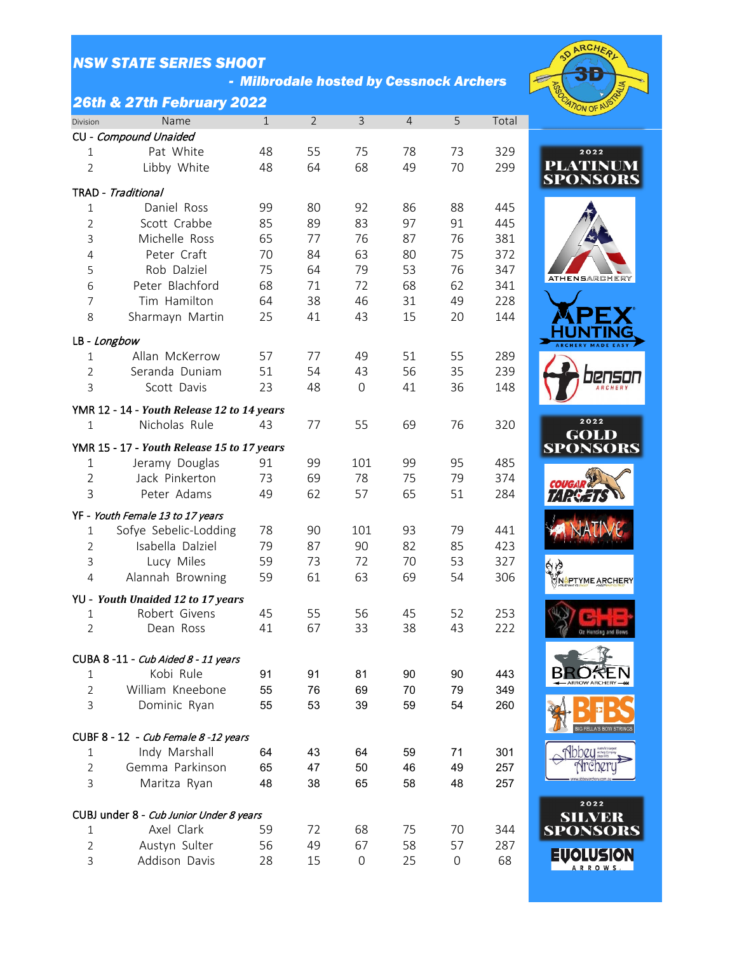*- Milbrodale hosted by Cessnock Archers*

## *26th & 27th February 2022*

| Division              | Name                                       | $\mathbf 1$ | $\overline{2}$ | 3   | $\overline{4}$ | 5  | Total |
|-----------------------|--------------------------------------------|-------------|----------------|-----|----------------|----|-------|
| CU - Compound Unaided |                                            |             |                |     |                |    |       |
| $\mathbf{1}$          | Pat White                                  | 48          | 55             | 75  | 78             | 73 | 329   |
| $\overline{2}$        | Libby White                                | 48          | 64             | 68  | 49             | 70 | 299   |
| TRAD - Traditional    |                                            |             |                |     |                |    |       |
| $\mathbf{1}$          | Daniel Ross                                | 99          | 80             | 92  | 86             | 88 | 445   |
| $\overline{2}$        | Scott Crabbe                               | 85          | 89             | 83  | 97             | 91 | 445   |
| 3                     | Michelle Ross                              | 65          | 77             | 76  | 87             | 76 | 381   |
| 4                     | Peter Craft                                | 70          | 84             | 63  | 80             | 75 | 372   |
| 5                     | Rob Dalziel                                | 75          | 64             | 79  | 53             | 76 | 347   |
| 6                     | Peter Blachford                            | 68          | 71             | 72  | 68             | 62 | 341   |
| $\overline{7}$        | Tim Hamilton                               | 64          | 38             | 46  | 31             | 49 | 228   |
| 8                     | Sharmayn Martin                            | 25          | 41             | 43  | 15             | 20 | 144   |
| LB - Longbow          |                                            |             |                |     |                |    |       |
| 1                     | Allan McKerrow                             | 57          | 77             | 49  | 51             | 55 | 289   |
| $\overline{2}$        | Seranda Duniam                             | 51          | 54             | 43  | 56             | 35 | 239   |
| 3                     | Scott Davis                                | 23          | 48             | 0   | 41             | 36 | 148   |
|                       | YMR 12 - 14 - Youth Release 12 to 14 years |             |                |     |                |    |       |
| $\mathbf{1}$          | Nicholas Rule                              | 43          | 77             | 55  | 69             | 76 | 320   |
|                       | YMR 15 - 17 - Youth Release 15 to 17 years |             |                |     |                |    |       |
| $\mathbf{1}$          | Jeramy Douglas                             | 91          | 99             | 101 | 99             | 95 | 485   |
| $\overline{2}$        | Jack Pinkerton                             | 73          | 69             | 78  | 75             | 79 | 374   |
| 3                     | Peter Adams                                | 49          | 62             | 57  | 65             | 51 | 284   |
|                       | YF - Youth Female 13 to 17 years           |             |                |     |                |    |       |
| 1                     | Sofye Sebelic-Lodding                      | 78          | 90             | 101 | 93             | 79 | 441   |
| $\overline{2}$        | Isabella Dalziel                           | 79          | 87             | 90  | 82             | 85 | 423   |
| 3                     | Lucy Miles                                 | 59          | 73             | 72  | 70             | 53 | 327   |
| 4                     | Alannah Browning                           | 59          | 61             | 63  | 69             | 54 | 306   |
|                       | YU - Youth Unaided 12 to 17 years          |             |                |     |                |    |       |
| 1                     | Robert Givens                              | 45          | 55             | 56  | 45             | 52 | 253   |
| $\overline{2}$        | Dean Ross                                  | 41          | 67             | 33  | 38             | 43 | 222   |
|                       | CUBA 8-11 - Cub Aided 8 - 11 years         |             |                |     |                |    |       |
| 1                     | Kobi Rule                                  | 91          | 91             | 81  | 90             | 90 | 443   |
| $\overline{2}$        | William Kneebone                           | 55          | 76             | 69  | 70             | 79 | 349   |
| 3                     | Dominic Ryan                               | 55          | 53             | 39  | 59             | 54 | 260   |
|                       |                                            |             |                |     |                |    |       |
|                       | CUBF 8 - 12 - Cub Female 8 -12 years       |             |                |     |                |    |       |
| $\mathbf{1}$          | Indy Marshall                              | 64          | 43             | 64  | 59             | 71 | 301   |
| $\overline{2}$        | Gemma Parkinson                            | 65          | 47             | 50  | 46             | 49 | 257   |
| 3                     | Maritza Ryan                               | 48          | 38             | 65  | 58             | 48 | 257   |
|                       | CUBJ under 8 - Cub Junior Under 8 years    |             |                |     |                |    |       |
| 1                     | Axel Clark                                 | 59          | 72             | 68  | 75             | 70 | 344   |
| $\overline{2}$        | Austyn Sulter                              | 56          | 49             | 67  | 58             | 57 | 287   |
| 3                     | Addison Davis                              | 28          | 15             | 0   | 25             | 0  | 68    |